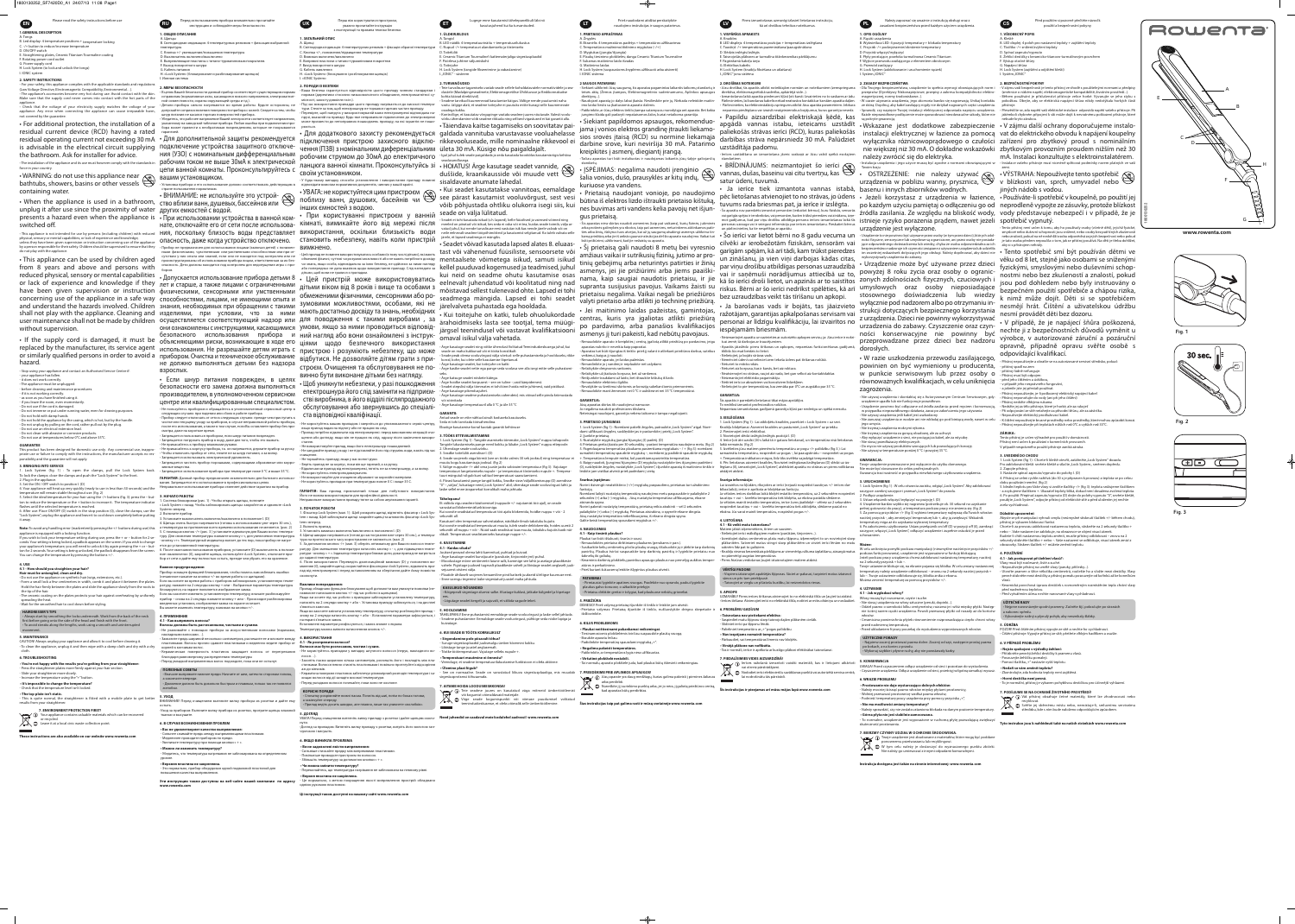Please read the safety instructions before us **1.GENERAL DESCRIPTIO** 

B. Led display: 4 temperature positions + temperature loo C. -/+ button to reduce/increase temperature D. ON/OFF switch Straightening plates, Ceramic Titanium Tourma

F. Rotating power cord outl G. Power supply cord H. Lock System (to lock and unlock the tongs

I. IONIC system

2. SAFETY INSTRUCTION: • For your safety, this appliance complies with the applicable standards and regu Low Voltage Directive, Electromagnetic Compatibility, Environmental...) The appliance's accessories become very hot during use. Avoid contact with the skin Make sure that the supply cord never comes into contact with the hot parts of the

Check that the voltage of your electricity supply matches the voltage of you appliance. Any error when connecting the appliance can cause irreparable harm ot covered by the quarantee.

• For additional protection, the installation of a residual current device (RCD) having a rated residual operating current not exceeding 30 mA • Для дополнительной защиты рекомендуется is advisable in the electrical circuit supplying the bathroom. Ask for installer for advice.

 $\cdot$ WARNING: do not use this appliance near  $\curvearrowright$  вашим установщиком. bathtubs, showers, basins or other vessels  $\mathbb{C}$ containing water.

unplug it after use since the proximity of water других емкостей с водой. presents a hazard even when the appliance is • При использовании устройства в ванной ком switched off.

#### hysical, sensory or mental capabilities, or lack of experience and knowledge less they have been given supervision or instruction concerning use of the appliance person responsible for their safety. Children should be supervised to ensure that they

• This appliance can be used by children aged from 8 years and above and persons with reduced physical, sensory or mental capabilities • Допускается использование прибора детьми 8 • Цей пристрій може використовуватись or lack of experience and knowledge if they пет и старше, а также лицами с ограниченными have been given supervision or instruction физическими, сенсорными или умственными concerning use of the appliance in a safe way способностями, лицами, не имеющими опыта и and understand the hazards involved. Children знания, необходимых при обращении с такими shall not play with the appliance. Cleaning and изделиями, при условии, что за ними user maintenance shall not be made by children осуществляется соответствующий надзор или ДЛЯ поводження с такими виробами, за without supervision.

. If the supply cord is damaged, it must be replaced by the manufacturer, its service agent hazard.

Stop using your appliance and contact an Authorised Service Centre is vour appliance has fallen. it does not work correctly he appliance must be unplugge before cleaning and maintenar if it is not working correctly. as soon as you have finished using it if vou leave the room, even momentari not use if the cord is damage o not immerse or put under running water, even for cle Do not hold with damp hands.

Do not hold the appliance by the casing, which is hot, but by the handle Do not unplug by pulling on the cord, rather pull out by the plug o not use an electrical extension lead Do not clean with abrasive or corrosive produc

Do not use at temperatures below 0°C and above 35°

is product has been designed for domestic use only. Any commercial use, inappropriate use or failure to comply with the instructions, the manufacturer accepts no rest sibility and the quarantee will not apply

Lock System (fig. 1) : To open the clamps, pull the Lock System back. lock the clamps: close the clamps and push the "Lock System" to the front

. Plug in the appliance 3. Set the ON / OFF switch to position I. (D 4. Your appliance will heat up very quickly (ready to use in less than 30 seconds) and the

temperature will remain stable throughout use. (fig. 2) 5. Select the ideal temperature for your hair using the -/+ buttons (fig. 3): press the - but-**3. HAYAJO PABOTbl** ton to reduce the temperature or the + button to increase it. The temperature indicator 1. Система блокировки (рис. 1): Чтобы открыть щипцы, потяните flashes until the selected temperature is reached. 6. After use: Place ON/OFF (D) switch in the stop position (0), close the clamps, use the

"Lock System", unplug the appliance and leave it to cool down completely before putting Note: To avoid any handling error (inadvertently pressing the +/- buttons during use) this

appliance is equipped with a locking function. If you wish to lock your temperature setting during use, press the  $+$  or  $-$  button for 2 seconds. Your setting is being locked, a padlock appears on the screen. If you wish to change - кнопку «+». Температурный индикатор мигает до тех пор, пока прибор не нагреyour appliance's temperature, you will need to unlock it by again pressing the + or – but-<br> ton for 2 seconds. Your setting is being unlocked, the padlock disappears from the screen. You can change the temperature by pressing the buttons +/-.

### 4.1 - How should you straighten your hair?

Hair must be untangled, clean and dry. • Do not use the appliance on synthetic hair (wigs, extensions, etc.). • Form a small lock a few centimetres in width, comb it and place it between the plates Hold the hair firmly between the plates and slide the appliance slowly from the roots to ратуру, нажмите на 2 секунды кнопку + или -. Выбранные параметры температуры

the tip of the hair. • The ceramic coating on the plates protects your hair against overheating by uniformly spreading the heat. . Wait for the smoothed hair to cool down before styling.

## **HAIRDRESSER'S TIPS**

• Always start by smoothing the locks underneath. Work from the back of the neck first before going onto the side of the head and finish with the front. • To avoid streaks along the lengths, work using a smooth and uninterrupted movement.

### 5. MAINTFNANCE CAUTION! Always unplug your appliance and allow it to cool before cleaning it.

• To clean the appliance, unplug it and then wipe with a damp cloth and dry with a dry

## **6. TROUBLESHOOTING**

• You're not happy with the results you're getting from your straightener - Press the straightener plates more firmly against your hair sectior

- Slide your straightener more slowly. - Increase the temperature using the "+" buttor

#### • It's impossible to change the temperature? - Check that the temperature level isn't locked.

. The top plate isn't static. This is quite normal, the straightener is fitted with a mobile plate to get better

#### results from your straightener. 7. ENVIRONMENT PROTECTION FIRST!

 $\sqrt{1-\sqrt{2}}$  Your appliance contains valuable materials which can be recovered or recycled.

Leave it at a local civic waste collection point These instructions are also available on our website www.rowenta.co

Перел использованием прибора внимательно прочитайт инструкцию и соблюдайте меры безопасности. 1. ОБЩЕЕ ОПИСА В. Светолиолная инликация: 4 температурных режимов + фиксация выбранно **TAMPOATVON** С. Кнопка +/- умень . Выключатель включено/выключен<mark>с</mark> Е. Выпрямляющие пластины с титано-турм E. BHYOJI DORODOTHOLO UJHVDZ G. Кабель питания H. «Lock System» (6 MEPH BEROUTCHOCTL

#### • В целях Вашей безопасности данный прибор соответствует сушествующим нс правилам (нормативные акты, касающиеся низкого напряжения, электромагни

естимости, охраны окружающей среды и т.д. етали прибора сильно нагреваются во время работы. Будьте осторожны, **н** попускайте соприкосновения поверхности прибора с кожей. Следите за тем, чтобы інур питания не касался горячих поверхностей прибора. једитесь, что рабочее напряжение Вашей электросети соответствует напряжени указанному на заводской табличке прибора. Любая ошибка при подключении при ра может привести к необратимым повреждениям, которые не покрываются

подключение устройства защитного отключе ния (УЗО) с номинальным дифференциальным рабочим током не выше 30мА к электрической цепи ванной комнаты. Проконсультируйтесь с

### • Установка прибора и его использование должно соответствовать действующ

 $\cdot$  BHИМАНИЕ: не используйте это устрой-<br>- When the appliance is used in a bathroom, ство вблизи ванн, душевых, бассейнов или

нате, отключайте его от сети после использоваопасность, даже когда устройство отключено.

• Прибор не предназначен для использования лицами (включая детей) с понижен ными физическими, чувственными или умственными способностями или при от утствии у них опыта или знаний, если они не нахолятся пол контролем или не гированы об использовании прибора лицом, ответственным за их без пасность. Дети должны находится под контролем для недопущения игры с при

взрослых.

• Если шнур питания поврежден, в целях безопасности его замена должна выполняться производителем, в уполномоченном сервисном центре или квалифицированным специалистом. • Не пользуйтесь прибором и обрашайтесь в уполн .<br>педующих случаях: при падении или сбоях в работе прибора. Трибор следует отключать от сети в следующих случаях: прежде чем приступить стке или текущему уходу за прибором, в случае неправильной работы прибор после его использования, а также в том случае, если Вы оставляете прибор без при

CMOTDA JRAKA HA KODOTKOA BDAMA }апрещается пользоваться прибором, если шнур питания поврежд апрещается погружать прибор в воду, даже для того, чтобы его вымыт**ı** 

трикасайтесь к прибору влаж Не прикасайтесь к корпусу прибора, т.к. он нагревается, лержите прибор за ручк -<br>Нтобы отключить прибор от сети, тяните не за шнур питания, а за вилку прещается использовать электрический удлинитель

• Запрешается использ

вания. Запрещается его использование в профессиональных целя lеправильное использование прибора отменяет действие гарантии на прибог

« Lock System » назад. Чтобы заблокировать щипцы: закройте их и сдвиньте «Locl System» вперед.

#### 2. Включите прибор 3. Установите выключатель включено/выключено в положение I. (D) 4. Шипцы очень быстро нагреваются (готовы к использованию уже через 30 сек.). емпература на протяжении всего времени использования не меняется, (рис. 2) 5. С помошью кнопок -/+ (рис. 3) установите идеальную для Ваших волос температуру. Для снижения температуры нажмите кнопку «-», для увеличения температуры 6. После окончания пользования прибором, установите (D) выключатель в положе

бор от сети и дайте ему полностью остыть, прежде чем убрать его на хранение. ажное предупреждение Прибор оснащен функцией блокирования, чтобы помочь вам избежать ошибки (нечаянное нажатие на кнопки +/- во время работы со шипцами).

Если вы хотите во время работы с прибором заблокировать установленную темп Если вы захотите изменить установленную температуру, вначале разблокируйте прибор – снова на 2 секунды нажмите кнопку + или - Происходит разблокировка введенных установок, изображение замка на экране исчезает. Вы можете изменить температуру, нажимая на кнопки +/-.

#### 4. ПРИМЕНЕНИЕ 4.1 - Как выпрямить волосы?

Волосы должны быть расчесанными, чистыми и сухими. • Не ухаживайте с помощью прибора за искусственными волосами (парикамі накладными волосами...). Захватите прядь шириной несколько сантиметров, расчешите ее и вложите между **4. ВИКОРИСТАННЯ** пластинками. Волосы прочно сдавите пластинками и медленно ведите прибор от **4.1 - Як розпрямити волосся?** корней к кончикам волос. Керамическая поверхность пластинок защищает волосы от перегревания .<br>5лагодаря равномерному распределению температуры

## .<br>Теред укладкой выпрямленных волос подождите, пока они не остыну<mark>т</mark>.

**ПОЛЕЗНЫЕ СОВЕТЫ** • Вначале выпрямите нижние пряди. Начните от шеи, затем по сторонам головь закончите впереди Движение должно быть довольно быстрым и плавным, только так не появятс

5. УХОД ВНИМАНИЕ! Перед очищением вытяните вилку прибора из розетки и дайте ему

•Уход за прибором: Вытяните вилку прибора из розетки, протрите щипцы влажной тканью и высушите

#### 6. В СЛУЧАЕ ВОЗНИКНОВЕНИЯ ПРОБЛЕМ • Вас не удовлетворяет качество выпрямления

www.rowenta.com

Сильнее сжимайте прядь между выпрямляющими пластинами Медленнее проводите прибором по пряди.

Увеличьте температуру при помощи кнопки « + ». • Можно ли изменить температуру?

Убедитесь, что температура нагревания не заблокирована на определенном уровне.

• Верхняя пластина не закреплена. .<br>Это нормально, прибор оборудован одной подвижной пластиной для повышения качества выпрямления

Эти инструкции также доступны на веб-сайте нашей компании по адресу

.<br>Перш ніж користуватися пристроєї

уважно прочитайте інструкцію з експлуатації та правила техніки безпеки І. ЗАГАЛЬНИЙ ОПИ

3. Світлоліолна інликація: 4 температурних режимів + фік С. Кнопка +/-, пониження/підвишення температурь Вимикач включено/виключенс .<br>Е. Випрямні пластини з титано-турма **Е. Вихіл поворотного шнура** 

G. Кабель живлення Н. «Lock System» (блокування і розблокування шип

2. ПОРАДИ ІЗ БЕЗПЕКІ Ваша безпека гарантується відповідністю цього приладу чинним станда

нормам (директиви стосовно низьковольтного обладнання, електромагнітної с лісності, захисту довкілля та ін. .<br>Під час використання приладдя цьої тури. Стежте за тим, щоб електрошнур не торкався гарячих частин приладу. еревірте, щоб напруга у використовуваній вами електромережі відповідала на прузі, вказаній на приладі. Будь-яке неправильне підключення до електромереж може призвести до непоправних пошкоджень приладу, на які гарантія не поши

Для додаткового захисту рекомендується galdada vannituba varustavasse vooluahelasse підключення пристрою захисного відклю- rikkevooluseade, mille nominaalne rikkevool ei чення (ПЗВ) з номінальним диференціальним ületa 30 mA. Küsige nõu paigaldajalt. робочим струмом до З0мА до електричного  $\cdot$ Igal juhul tuleb seade paigaldada ja seda kasutada kooskõlas kasutamisriigis kehtiva ланцюга ванної кімнати. Проконсультуйсь зі • HOIATUS! Ärge kasutage seadet vannide,  $\otimes$ своїм установником.

• У будь-якому випадку способи установлення і використання приладу повин вілповілати вимогам нормативних локументів, чинних у вашій країні. • УВАГА: не користуйтеся цим пристроєм  $\otimes$ поблизу ванн, душових, басейнів чи У see pärast kasutamist vooluvõrgust, sest vesi інших ємностей з водою.

• При користуванні пристроєм у ванній кімнаті, вимикайте його від мережі після is appliance is not intended for use by persons (including children) with reduced НИЯ, ПОСКОЛЬКУ бЛИЗОСТЬ ВОДЫ ПРЕДСТАВЛЯЕТ ВИКОРИСТАННЯ, ОСКІЛЬКИ бЛИЗЬКІСТЬ ВОДИ становить небезпеку, навіть коли пристрій

ал не повинен використовуватись особами (в тому числі літьми) які ма обмежені фізичні, чуттєві чи розумові можливості або не мають потрібного досвіду mentaalsete võimetega isikud, samuti isikud чи знань, якщо особа, відповідальна за їхню безпеку, не здійснює за ними нагляду .<br>160 попередньо не дала вказівок шодо використання приладу. Слід наглядати з

дітьми віком від 8 років і вище та особами з обмеженими фізичними, сенсорними або розумовими можливостями, особами, які не мають достатньо досвіду та знань, необхідних они ознакомлены с инструкциями, касающимися умови, якщо за ними проводиться відповідбезопасного использования прибора и ний нагляд або вони ознайомлені з інструкобъясняющими риски, возникающие в ходе его ціями шодо безпечного використання использования. Не разрешайте детям играть с пристрою і розуміють небезпеку, що може ог similarly qualified persons in order to avoid a прибором. Очистка и техническое обслуживание відбутися. Не дозволяйте дітям грати з прине должно выполняться детьми без надзора строєм. Очищення та обслуговування не повинно бути виконане дітьми без нагляду.

• Щоб уникнути небезпеки, у разі пошкодження електрошнура його слід замінити на підприємстві виробника, в його відділі післяпродажного обслуговування або звернувшись до спеціаліста відповідної кваліфікації.

• Не користуйтесь вашим приладом і зверніться до уповно якщо прилад падав на підлогу або не працює як слід. Прилад потрібно відключати від електромережі: перед виконанням операцій оч щення або догляду, якщо він не працює як слід, одразу після закінчення викори He використовуйте прилал, якщо його електрошнур по

• Не занурюйте прилад у воду і не підставляйте його під струмінь води, навіть під час Не торкайтесь приладу, якшо у вас вологі руки.

.<br>Беріть прилад не за корпус, поки він ще гарячий, а за ручку. Відключаючи прилад від електромережі, тягніть не за електрошнур, а за вил

• Не користуйтесь електрополовжувачем. Не використовуйте для очищення абразивні чи корозійні мате<u>р</u> Не користуйтесь приладом при температурах нижче 0 С і вище 35 (

Його не можна використовувати для професійної діяльності

Неправильне використання приладу тягне за собою анулювання гарантії. 3. ПОЧАТОК РОБОТИ

#### 1. Фіксатор Lock System (мал. 1) : Щоб розкрити щипці, відтягніть фіксатор « Lock Sys- Киі soovite seadistatud temperatuuri töö ajaks blokeerida, hoidke nuppu + või - 2 tem » назад. Щоб заблокувати щипці: закрийте щипці та штовхніть фіксатор «Lock Sys- sekundit all. tem» вперед.

2. Включіть прилад. 3. Установіть вимикач включено/виключено в положення І. (D) 4. Щипці швидко нагріваються (готові до застосування вже через 30 сек.), а темпера- dikult. Temperatuuri seadistamiseks kasutage nuppe +/-.

тура на протязі всього часу користування не змінюється. (мал. 2) 5. За допомогою кнопок -/+ (мал. 3) оберіть оптимальну для Вашого волосся температуру. Для зменшення температури натисніть кнопку « - », для підвищення темпе- **4.1 - Kuidas siluda?** ние «выключено» (0), закройте щипцы, используйте «Lock System», отключите при- ратури - кнопку « + ». Індикатор температури блимає доти, доки прилад не нагріється Juuksed peavad olema lahti kammitud, puhtad ja kuivad. о заданої температури 6. Після використання: Перевеліть лвопозиційний вимикач (D) у положення вимкнення (0), закрийте щипці, скористайтеся фіксатором «lock System», відключіть при- vahele. Pigistage juuksed tugevalt plaadikeste vahelt ja libistage seadet aeglaselt juuk- atūros ir perkaitinimo. лад від електромережі і перед встановленням на зберігання дайте йому повністю

### Важливе попередження:

Прилад обладнано функцією блокування щоб допомогти вам уникнути помилки (не навмисне натискання кнопок +/- під час роботи із щипцями). Якщо ви хочете під час роботи з приладом заблокувати установлену температуру атисніть на 2 секунди кнопку + або -. Установка приладу заблокується, і на дисплеї з'явиться замочок. Якщо ви захочете змінити установлену температуру, спочатку розблокуйте прилад – знову на 2 секунди натисніть кнопку + або -. Встановлені параметри зафіксуються, і на екрані з'явиться замок.

Встановлені параметри розфіксуються, і замок зникне з екрана Температуру можна змінити натисненням кнопок +/-.

Волосся має бути розчесаним, чистим і сухим • Не користуйтесь приладом у випадку штучного волосся (перук, накладного во-

лосся...). • Захопіть пасмо шириною кілька сантиметрів, розчешіть його і покладіть між пластинками. Волосся певно стисніть пластинками і повільно протягуйте їх від коріння аж до кінчиків.

Керамічна поверхня пластинок забезпечує рівномірний розподіл температури і захищає волосся від дії занадто високої температури. Перед укладкою волосся почекайте, поки воно не охолоне.

**КОРИСНІ ПОРАДИ** очатку розрівняйте нижні пасма. Почніть від шиї, потім по боках голови а закінчуйте спереду Прилад ведіть досить швидко, але плавно, лише так уникнете «жолобків»

Сильніше стискайте прядку між випрямними пластинами

Ці інструкції також доступні на нашому сайті www.rowenta.com

Повільніше проводьте пристроєм по волоссю.

Збільшіть температуру за допомогою кнопки « + ».

### 5. ЛОГЛЯЛ

-Догляд за приладом: Витягніть вилку приладу з розетки, витріть його вологою ган чірочкою і висушіть.

.<br>Переконайтесь, що температура нагрівання не заблокована на певному рівні.

.<br>Це нормально, з метою покращення якості випрямлення пристрій обладнано

#### 6. ЯКШО ВИНИКЛА ПРОБЛЕМА • Ви не задоволені якістю випрямлення:

• Чи можна змінити температуру?

• Верхня пластина не закріплена.

однією рухомою пластиною.

l ugege enne kasutamist tähelepanelikult läbi n kasutusiuhend kui ka turvanõuded

## B. LED näidik: 4 temperatuurinäitu + temperatuurilukustu

1. ÜLDKIRJELDU

F. Pöörleva juhtme väljumiskoht

D. Toitelülit

G Toiteiuhe

I. "IONIC" - süsteem

**ZELIRVANŐUDED** 

osadega kokku

kohta käivad direktiivid)

#### C. Nupud -/+ temperatuuri alandamiseks ja tõstmisel E. Ceramic Titanium Tourmaline'i kattematerjaliga sirges

H. Lock System (tangide fikseerimine ja vabastamine

e turvalisuse tagamiseks vastab seade sellele kohaldatavatele normatiividele ja sea dustele (Madalpingeseadmete, Elektromagnetilise Ühilduvuse ja Keskkonnakaitse mise käigus. Vältige nende puutumist naha

vastu. Jälgige alati, et seadme toitejuhe ei puutuks mitte kunagi selle kuumeneva Kontrollige, et kasutatav võrgupinge vastaks seadme juures nõutavale. Valesti voolu võrku ühendamine võib seadme rikkuda ning sellised vigastused ei käi garantii alla.

•Täiendava kaitse tagamiseks on soovitatav pai-

duššide, kraanikausside või muude vett sisaldavate anumate lähedal.

· Kui seadet kasutatakse vannitoas, eemaldage võib põhjustada ohtliku olukorra isegi siis, kui seade on välja lülitatud.

adet ei tohi kasutada isikud (s.h. lapsed), kelle füüsilised ja vaimsed võimed ning eeled on piiratud või isikud, kes seda ei oska või ei tea, kuidas seade toimib, välia ai atud juhul, kui nende turvalisuse eest vastutav isik kas nende järele valvab või on

Seadet võivad kasutada lapsed alates 8. eluaastast või vähenenud füüsiliste, sensoorsete või kellel puuduvad kogemused ja teadmised, juhul kui neid on seadme ohutu kasutamise osas eelnevalt juhendatud või koolitatud ning nad mõistavad sellest tulenevaid ohte. Lapsed ei tohi seadmega mängida. Lapsed ei tohi seadet järelvalveta puhastada ega hooldada.

Kui toiteiuhe on katki, tuleb ohuolukordade ärahoidmiseks lasta see tootjal, tema müügijärgsel teenindusel või vastavat kvalifikatsiooni omaval isikul välia vahetada.

kasutage seadet ning võtke ühendust Volitatud Teeninduskeskusega juhul, kui seade on maha kukkunud või ei tööta korralikult. eade peab olema vooluvõrgust välja võetud: selle puhas korral, kohe, kui olete selle kasutamise lõpetanud Ärge kasutage seadet, kui toiteiuhe on katki

Ärge kastke seadet vette ega pange seda voolava vee alla isegi mitte selle puhastami . Ärge katsuge seadet nijskete käteg Ärge hojdke seadet korpusest – see on tuline – vaid käepidemest

adet stepslist välja tõmmates ei tohi kinni hoida mitte juhtmest, vaid pistikus

Arge kasutage temperatuuril alla 0 °C ja üle 35 °

Antud seade on ette nähtud ainult koduseks kasutu

Ärge kasutage pikendusiuhet.

. Ühendage seade vooluvõrku

**A KASHTAMINE** 

5. HOOLDAMINE

• Ülemine plaat liigub?

irgestusprotsessi tõhusamaks.

kuivatage.

seiuurest otsteni välja.

KASULIKUD NÕUANDED

3. Seadke toitelüliti asendisse I. (D

või söövitad

e kasutage seadme puha:

seda ei tohi tarvitada töövahendina. Ebaõige kasutamise korral kaotab garantii kehtivu

Lock System (fig 1) : Tangide avamis imake "Lock System" nuppu taha langide lukustamiseks pange need kokku ja lükake "Lock System" nuppu ettep

4. Seade soojeneb väga kiiresti (see on tööks valmis 30 sek jooksul) ning temperatuur e nuutu kogu kasutamisaja jooksul. (fig 2 5. Valige nuppude -/+ abil oma juuste jaoks sobivaim temperatuur (fig 3): Vajutao nperatuuri langetamiseks nupule – ja temperatuuri tõstmiseks nupule +. Tempera tuuri märgutuli vilgub kuni valitud temperatuuri saavutamiseni.

6. Pärast kasutamist pange tangid kokku. Seadke sisse/väljallitamisnupp (D) asendisse "0" - "väljas", lukustage need "Lock System" abil, ühendage seade vooluvõrgust lahti ja iske sellel enne ärananekut korralikult maha jahtud:

Et vältida vigu seadme käsitsemisel (nuppude +/- vajutamist töö ajal), on seade varustatud blokeerimisfunktsiooniga.

Kasutusel olev temperatuur salvestatakse, näidikule ilmub tabaluku kujutis Kui soovite seadistatud temperatuuri muuta tuleb seade deblokeerida, boides uuesti 2 sekundit all nuppu + või -. Nüüd saab seadistusi taas muuta, tabaluku kujutis kaob näi-

· Ärge kasutage seadet kunstjuuste (parukate, šinjoonide jmt) puhul.

Moodustage mõne sentimeetri laiune salk, kammige see lahti ja asetage plaadikeste

• Plaatide ühtlaselt soojenev keraamiline pind kaitseb juukseid üleliigse kuumuse ees · Enne soengu tegemist laske sirgestatud juustel maha jahtuda.

Kõigepealt sirgestage alumisi salke. Alustage kuklast, jätkake külgedel ja lõpetage · Liigutage seadet kergelt ja sujuvalt, et vältida vagude teket.

TÄHELEPANLILEnne puhastamist eemaldage seade vooluvõrgust ja laske sellel jahtuda · Seadme puhastamine: Eemaldage seade vooluvõrgust, pühkige seda niiske lapiga ja

6. KUI SEADE EI TÖÖTA KORRALIKULT · Sirgendamine pole pijsavalt tõhus?

- Suruge sirgestusplaadid juuksesalgu ümber kõvemini kokku Libistage tange juustel aeglasemalt. - Tõstke töötemperatuuri. Vajutage selleks nupule -

· Temperatuuri muutmine ei õnnestu? - Veenduge, et seadme temperatuurilukustamise funktsioon ei oleks aktiivne

- See on normaalne. Seade on varustatud liikuva sirgestusplaadiga, mis muudab 7. AITAME HOIDA LOODUSKESKKONDA! <sup>1</sup> Teie seadme juures on kasutatud väga mitmeid ümbertöötlemist või kogumist võimaldavaid materjale.

Viige seade kogumispunkti või viimase puudumisel volitatud teeninduskeskusesse, et oleks võimalik selle ümbertöötlemine.

УВАГА! Перед очищенням витягніть вилку приладу з розетки і дайте щипцям охоло- Need juhendid on saadaval meie kodulehel aadressil www.rowenta.con

naudojimo instrukcijas ir saugos patarimus 1. PRIETAISO APRAŠYM/

B. Ekranėlis: 4 temperatūros padėtys + temperatūros užfiksavimas C. Temperatūros mažinimo/didinimo mygtukas (-/+

D. Mygtukas (jjungta/išjungta Plaukų tiesinimo plokštelės; danga Ceramic Titanium Tourma F. Sukamas maitinimo laido išvada

G. Maitinimo laidas H. Lock System (suspaustoms žnyplėms užfiksuoti arba atsiver I. IONIC sistema

2 SAUGOS PATARIM • Siekiant užtikrinti Jūsu sauguma, šis aparatas pagamintas laikantis taikomu standartu ir

teisės aktu (Žemos itampos, Elektromagnetinio suderinamumo, Aplinkos apsaugos irektvvu…). idojant aparatą jo dalys labai įkaista. Nesilieskite prie jų. Niekada r imo laidui liestis su įkaitusiomis aparato dalimis.

Prieš naudodami atidžiai perskaitykite

. Patikrinkite, ar Jūsu elektros tinkļo itamna sutamna su nur jungimo klaida gali padaryti nepataisomos žalos, kuriai netaikoma garantija Siekiant papildomos apsaugos, rekomenduo jama į vonios elektros grandinę įtraukti liekamo-

sios srovės įtaisą (RCD) su normine liekamąja darbine srove, kuri neviršija 30 mA. Patarimo kreipkitės į asmenį, diegiantį įrangą. .<br>Tačiau aparatas turi būti instaliuotas ir naudojamas laikantis jūsų šalyje galiojančiu

• ISPĖJIMAS: negalima naudoti įrenginio ( šalia vonios, dušo, prausyklės ar kitų indų,  $\overline{\mathbb{C}}$ kuriuose yra vandens

· Prietaisa naudojant vonioje, po naudojimo būtina iš elektros lizdo ištraukti prietaiso kištuka, nes buvimas arti vandens kelia pavoju net išjungus prietaisa.

Šis aparatas nėra skirtas naudoti asmenims (taip pat vaikams), kurių fizinės, jutiminė arba protinės galimybės vra ribotos, taip pat asmenims, neturintiems atitinkamos patir ties arba žinių, išskyrus tuos atvejus, kai už jų saugumą atsakingi asmenys užtikrina tin a priežiūra arba jie iš anksto gauna instrukcijas dėl šio aparato naudojimo. Vaikai tur rimi, užtikrinant, kad jie nežaistų su aparatu

Šį prietaisą gali naudoti 8 metų bei vyresn amžiaus vaikai ir sutrikusių fizinių, jutimo ar protinių gebėjimų arba neturintys patirties ir žinių asmenys, jei jie prižiūrimi arba jiems paaiški· nama, kaip saugiai naudotis prietaisu, ir jie supranta susijusius pavojus. Vaikams žaisti su prietaisu negalima. Vaikai negali be priežiūros valvti prietaiso arba atlikti jo techninę priežiūrą.

· Jei maitinimo laidas pažeistas, gamintojas centras, kuris yra įgaliotas atlikti priežiūrą po pardavimo, arba panašios kvalifikacijos asmenys ji turi pakeisti, kad nebūtu pavojaus.

· Nenaudokite aparato ir kreipkitės į centra, igaliota atlikti priežiūra po pa aparatas nukrito ir neveikia kaip paprastai. paratas turi būti išjungtas iš tinklo: prieš jį val veikimui, baiqus ji naudot

Nenaudokite aparato, jej laidas pažeista • Nenardinkite io i vandeni ir neplaukite net valvdan

Nelaikykite už įkaitusio korpuso, bet už rankeno Neišiunkite traukdami už laido, bet ištraukite kištuka iš lizd

Nenaudokite elektrinio ilgiklio. • Nevalvkite su šveitimui skirtomis ar korozija sukeliančiomis priemonėmis

Nenaudokite esant žemesnei nei 0 °C ir aukštesnei nei 35 °C temperatūr **GARANTIJA** 

• Nelaikvkite drėgnomis rankomis

lūsu aparatas skirtas tik naudojimui namuose Jo negalima naudoti profesiniams tikslams.

Neteisingai naudojant, garantija nebėra taikoma ir tampa negalioj

**3. PRIFTAISO I IUNGIMA** 1. Lock System (fig 1): Norėdami pakelti žnyples, patraukite "Lock System" atgal. Nore dami užfiksuoti žnyples, suskleskite jas ir pastumkite į prieki "Lock Syste

2. Jjunkite prietaisą. ustatykite mygtuką įjungta/išjungta į (I) padėtį. ( 4. Prietaisas greitai įkaista per 30 sekundžių - pastovi temperatūra naudoji<mark>i</mark> .<br>5. Pageidaujama temperatūra plaukams pasirenkama mygtukais – / + (fig 3): norėdami sumažinti temperatūra spauskite mvgtuka –, norėdami ja padidinti spauskite mvgtuka +. Temperatūros lemputė mirksi, kol pasiekiama pasirinkta temperatūra

.<br>6. Baigę naudoti, Jiungimo/išjungimo (D) mygtuką nustatykite ties išjungimo padėtir (0), suskleskite žnyples, nustatykite "Lock System", išjunkite aparata iš maitinimo tinklo ir leiskite jam visiškai atvėsti prieš padėdami į vieta Svarbus ispėjima:

mygtukų paspaudimo, prietaisas turi užrakin Norint išsivengti neatsiti funkcija

sekundes (+) arba (-) mygtuką. . Jūsų nustatyta temperatūra užfiksuojama, ekrane atsiranda spyna. vorint pakeisti nustatyta temperatūra, prietaisa reikia atrakinti – vėl 2 sekundes palaikykite (+) arba (-) mygtuką. Prietaisas atsirakina, o spynelė ekrane dingsta.

.<br>Jūsų nustatyta temperatūra nebefiksuojama, iš ekrano dingsta spyna. Galite keisti temperatūrą spausdami mygtukus +/-.

4. NAUDOJIMAS 4.1 - Kaip tiesinti plaukus?

Plaukai turi būti iššukuoti, švarūs ir sausi. · Nenaudokitės prietaiso dirbtiniams plaukams (perukams ir pan.). · Susikurkite kelių centimetrų pločio plaukų sruogą, iššukuokite ją ir įdėkite tarp darbinių

šaknelių iki galiukų. • Keraminis darbinių plokštelių paviršius apsaugo plaukus nuo pernelyg aukštos temper-

· Prieš kuriant šukuoseną leiskite išlygintus plaukus atvėsti.

irmiausiai lyginkite apatines sruogas. Pradėkite nuo sprando, paskui lyginkite ilaukus galvo šonuose, o užbaikite priekvie

Prietaisu dirbkite greitai ir tolygiai, kad plaukuose nebūtų griovelia **PRIFŽIŪRA** 

DĖMESIO! Prieš valyma prietaisa išiunkite iš tinklo ir leiskite jam atvėsti. · Prietaiso valymas: Prietaisą išjunkite iš tinklo, nušluostykite drėgna skepetaite ir 6. PROBLĒMU GADĪJUM išdžiovinkite.

**6. KILUS PROBLEMOMS** 

· Plaukai neištiesinami pakankamai veiksmingai. - Tiesinamosiomis plokštelėmis tvirčiau suspauskite plaukų sruogą - Braukite aparatu lėčiau.

Padidinkite temperatūrą spausdami mygtuką "+". · Negalima pakeisti temperatūros

- Patikrinkite, ar temperatūros Ivgis nėra užfiksuotas. · Viršutinė plokštelė nestabili.

Tai normalu, aparato plokštelė juda, kad plaukai būtų ištiesinti veiksmingia 7. PRISIDĖKIME PRIE APLINKOS APSAUGOS!

D Jūsų aparate yra daug medžiagų, kurias galima pakeisti į pir arba perdirbti.

Nuneškite jį į surinkimo punktą arba, jei jo nėra, į įgaliotą priežiūros centrą, kad aparatas būtų perdirbtas.

Šias instrukcijas taip pat galima rasti ir mūsų svetainėje www.rowenta.co

B. LED displeis: 4 temperatūras pozīcijas + temperatūras izslēgšai C. Taustinš -/+ temperatūras paz D. Slēdzis ieslēgts/izslēgts E. Taisnojošās plāksnes ar turm F. Pagriežamā kabela izeja

G. Flektrības kabelis H. Lock System (knaiblu fiksēšana un atlaišana

I., IONIC" jonu sistēma 2. DROŠĪRAS NOTFIKUM

1. VISPĀRĪGS APRAKS

· lūsu drošībai, šis aparāts atbilst noteiktajām normām un noteiku direktīva, elektromagnētiskā saderība, apkārtējā vide...).

nantošanas laikā aparāta piederumi klūst loti karsti. Izvair ieties, lai barošanas kabelis nekad neatrastos kontaktā ar karstām aparāta dalām nieties, ka elektroinstalāciju spriegums atbilst Jūsu aparāta parametriem. Jebkura ze skórą. Dopilnuj, aby kabel zasilający nigdy nie dotykał nagrzanych części urządzenia. nepareiza pieslēgšana var izraisīt neatgriezeniskus bojājumus, kurus garantija nesedz - Sprawdž, czy napiecie Twojej instalacij elektrycznej odpowiada napieciu urzadzenia - • Přesvědčte se, zda nap Papildu aizsardzībai elektriskajā ķēdē, kas apgādā vannas istabu, ieteicams uzstādīt •Wskazane jest dodatkowe zabezpieczenie •Vzájmu dalšíochranydoporučujemeinstalo-

Pirms izmantošanas uzmanīgi izlasiet lietošanas instrukciji

kā arī drošības tehnikas noteikumus.

paliekošās strāvas ierīci (RCD), kuras paliekošās darbības strāva nepārsniedz 30 mA. Palūdziet uzstādītāja padomu. · lerīces uzstādīšana un izmantošana iāveic saskanā ar Jūsu valstī spēkā esošaije

• BRĪDINĀJUMS: neizmantojiet šo ierīci  $\widehat{\lllyeq}$ vannas, dušas, baseinu vai citu tvertņu, kas satur ūdeni, tuvumā.

· Ja ierīce tiek izmantota vannas istabā, pēc lietošanas atvienojiet to no strāvas, jo ūdens · Jeżeli korzystasz z urządzenia w łazience, ·Používáte-li spotřebič v koupelně, po použití jej tuvums rada briesmas pat, ja ierīce ir izslēgta. o aparātu nav paredzēts izmantot personām (ieskaitot bērnus), kuru fiziskās, ser ai garīgās spējas ir ierobežotas, vai personām, kurām trūkst pieredzes vai zināšanu, izne mot gadījumus, kad par viņu drošību atbildīga persona ierīces izmantošanas laikā šīs istnieje ryzyko poraženia pradem, nawet ježeli personas uzrauga vai ir sniegusi informāciju par ierīces izmantošanu. Pieskatiet bērnu

nieties, ka tie nespēlējas ar aparātu • So ierīci var lietot bērni no 8 gadu vecuma un cilvēki ar ierobežotām fiziskām, sensorām vai garīgām spējām, kā arī tādi, kam trūkst pieredzes un zināšanu, ja vien vini darbojas kādas citas, par vinu drošību atbildīgas personas uzraudzībā vai ir saņēmuši norādījumus attiecībā uz to, kā šo ierīci droši lietot, un apzinās ar to saistītos riskus. Bērni ar šo ierīci nedrīkst spēlēties, kā arī bez uzraudzības veikt tās tīrīšanu un apkopi.

· Ja barošanas vads ir bojāts, tas jāaizvieto ražotājam, garantijas apkalpošanas servisam vai personai ar līdzīgu kvalifikāciju, lai izvairītos no iespējamām briesmām.

Neizmantojiet aparātu un sazinieties ar autorizēto apkopes servisu, ja: Jūsu jerīce ir tusi zemē, tā darbojas ar traucējumiem. Aparāts jāizslēdz: pirms tīrīšanas un apkopes, nepareizas funkcionēšanas gadīj dorosłych tiklīdz Jūs esat beidzis to liet

Nelietojiet, ja bojāts strāvas vac Nemērciet ūdenī vai nelieciet zem tekoša ūdens nat tīrīšanas nolūk

• Neturiet to mitrãs rokãs. · Neturiet aiz korpusa, kas ir karsts, bet aiz roktura

Neatvienojiet no strāvas, raujot aiz vada, bet gan velkot aiz kontaktda · Neizmantojiet elektrisko pagarinātāju Netīriet ierīci ar abrazīviem vai korozīviem līdzekļien

• Nelietoijet to pie temperatūras, kas zemāka par 0°C un augstāka par 35 °C

**GARANTIJA** Šis aparāts ir paredzēts lietošanai tikai mājas apstāklos

To nedrīkst izmantot profesionālos nolūkos Nepareizas izmantošanas gadījumā garantija kļūst par nederīgu un spēkā neesoš

3. IFSI ĒGŠAN 1. Lock System (Fig 1) : Lai atblokētu knaibles, pavelciet « Lock System » uz sev

Knaibļu bloķēšanai: Aizveriet knaibles un pastumiet "Lock System" uz priekšu. 2. Pievienojiet jerici elektrībai. 3. Novietojiet slēdzi izslēgts/ieslēgts pozīcijā I. (D 4. lerīce loti ātri uzsilst (30 s laikā tā ir gatava lietošanai), un tempe

laikā nemainās. (fig 2) 5. Izvēlieties jūsu matiem piemērotu temperatūru ar pogu -/+ palīdzību (fig 3.); Lai samazinātu temperatūru, nospiediet uz pogas -, lai paaugstinātu – nospiediet uz poga ⊦. Temperatūras indikators mirgos, līdz tiks izvēlēta vajadzīgā temperatūra. 6. Pēc lietošanas aizveriet knaibles, Novirziet ieslēgšanas/izslēgšanas (D) slēdzi uz izslēgšanu (0), izmantojiet "Lock System", atslēdziet aparātu no strāvas un pirms nolikša

#### atstäjjet atdzist Svarīga informācija

Lai izvairītos no klūdām, rīkojoties ar ierīci (nejauši nospiežot taustinus +/- ierīces da bības laikā), ierīce ir aprīkota ar blokēšanas funkciju. ırhīhas laikā hlokēt iestai taustinu + vai - Izvelēta temperatūra tiek blokēta, uz ekrāņa parādās slēdzene Ja vēlaties mainīt iestatīto temperatūru, ierīce Jums jāatbloķē - vēlreiz uz 2 sekundēm nospiediet taustinu + vai - Izvelēta temperatūra tiek atblokēta, slēdzene pazūd no ekrāna. Jūs varat mainīt temperatūru, nospiežot pogas +/-.

#### 4. LIETOŠANA 4.1 - Kā veikt matu taisnošanu?

**VĒRTĪGI PADOMI** 

5. APKOPE

sānos un pēc tam priekšpusē.

· Taisnošana nav pietiekami efektīva:

- Palieliniet temperatūru ar "+" pogas palīdzību

- Pārbaudiet, vai temperatūras līmenis nav blokēts.

vai otrreiz pārstrādājami.

lai nodrošinātu tās pārstrādi.

· Nav iespējams nomainīt temperatūru?

7. PIEDALĪSIMIES VIDES AIZSARDZĪBĀ!

Slidiniet ierīci pa škipsnu lēnāk.

· Virsējā plāksne nav nofiksēta.

Matiem jābūt izkemmētiem, tīriem un sausiem · Nelietojiet ierīci mākslīgajiem matiem (parūkām, šinjoniem...). · Izveidojiet dažus centimetrus platu matu šķipsnu, izķemmējiet to un novietojiet starp plāksnītēm. Satveriet matus stingri starp plāksnītēm un virziet ierīci lēnām no matu Wazne: saknēm līdz pat to galiņiem. paviršių. Plaukus tvirtai suspauskite tarp darbinių paviršių ir lyginkite prietaisu nuo Knaibļu virsmas keramiskais pārklājums ar vienmērīgu siltuma izplatīšanu, aizsargā matus no pārmērīgi augstas temperatūras

.<br>Vispirms iztaisnojiet apakšējās šķipsnas. Sāciet ar pakausi, turpiniet matus iztaisnot

UZMANĪBU! Pirms ierīces tīrīšanas atvienojiet to no elektriskā tīkla un laujiet tai atdzist

· lerīces tīrīšana: Atvienojiet ierīci no elektriskā tīkla, notīriet ar mitru drāninu un noslaukiet

△ Nododiet ierīci elektroierīču savākšanas punktā vai autorizētā servisa centrā,

(1) lerīces ražošanā izmantoti vairāki materiāli, kas ir lietojami atkārtoti **5. KONSERWACJA** 

· Pirms frizūras veidošanas ļaujiet iztaisnotajiem matiem atdzist.

· Taisnojiet ar vieglu un plūstošu kustību, lai neizveidotos rievas.

ediet matu šķipsnu starp taisnojošajām plāksnēm ciešāk

- Tas ir normāli, ierīce ir aprīkota ar kustīgo plāksni efektīvākai taisnošanai

Šīs instrukcijas ir pieejamas arī mūsu mājas lapā www.rowenta.cor

### **CS**

Należy zapoznać się uważnie z instrukcją obsługi oraz

zasadami bezpieczeństwa przed każdym użyciem urządzeni.

B. Wyświetlacz LED: 4 pozycji temperatury + blokada temperat

należy zwrócić sie do elektryka.

basenu i innych zbiorników wodnych.

urządzenie jest wyłączone.

vwały urzadzenia do zabawy:

zagrożenia.

**GWARANCJA:** 

2. Podłacz urzadzeni

na 2 sekundy przycisk + lub -.

4.1 - Jak wygładzać włosy?

przed nadmierną temperaturą.

po bokach, a na koniec z przodu

**UŻYTECZNE PORADY** 

**6. WRAZIE PROBLEMU** 

skuteczność prostowania.

4. UŻYWANIE

włosów.

· Nie używaj urządzenia i skontaktuj się z Autoryzo

rządzenie upadło lub nie funkcjonuje prawidłov

Nie użvwai urzadzenia ieśli kabel iest uszkodzony

Nie trzymaj urządzenia za gorącą obudowe, ale za uchwy

żywaj w temperaturze poniżej 0 °C i powyżej 35 °C

voje urządzenie przeznaczone jest wyłącznie do użytku dor

warancia traci ważność w przypadku niewłaściwego użytl

vie może być stosowane do celów profesjonalnycl

3. Ustaw włacznik właczyć/wyłaczyć na pozycie I. (D)

temperatury miga aż do uzyskania wybranej temperatury

temperatury należy urzadzenie odblokować – znowu na 2 sekundy naciśnii przycisk +

.<br>De Twoje ustawienie odblokowuje się, kłódka znika z ekranu.

Możesz zmienić temperaturę za pomocą przycisków +/-.

Nie stosuj urządzenia na włosy sztuczne (peruki, dopinki...).

• Wykonuj szybkie i płynne ruchy, aby nie powstawały karby.

Prostowanie nie daje wystarczająco dobrych efektów:

Wolniej przesuwać prostownicę wzdłuż pasma włosów,

· Nie ma możliwości zmiany temperatury?

· Górna płyta nie jest stabilnie zamocowana.

Należy mocniej ścisnąć pasmo włosów między płytami prostownicy,

Podnieść temperaturę pracy urządzenia przy pomocy przycisku"+

7. BIERZMY CZYNNY UDZIAŁ W OCHRONIE ŚRODOWISKA.

ponownemu przetwarzaniu lub recyklingowi.

bosy muszą być rozczesane, czyste i suche

Nie trzymai urzadzenia mokrymi rekoma

stosuj przedłużaczy elektrycznych

.<br>Nie zanurzaj urządzenia w wodzie ani nie wkładaj go pod bieżącą

Aby wyłaczyć urzadzenie z sieci, nie pociagai za kabel, ale za wtyczke

p mycia nie używai produktów szorujących lub powodujących koro

stosownego doświadczenia lub

.<br>L Płyty prostujące, powłoka turmalinowa Ceramic Titan

F. Wyjście przewodu zasilającego z elementem obrotow

H. Lock System (zablokowanie i uruchomienie racze

**. OPIS OGÓLI** 

A. Raczki urządzen

G. Przewód zasilający

sa pokryte gwaranci

I. System "IONIC

C. Przycisk -/+ podwyższenie

D. Przycisk włączyć/wyłączyć

2. ZASADY REZPIECZEŃSTW

magnetvcznej, normy środowiskowe...

#### Před použitím si pozorně přečtěte návod použití a bezpečnostní pokyny

Instalace vašeho přístroje musí nicméně splňovat podmínky norem platných ve vaš

• VÝSTRAHA: Nepoužívejte tento spotřebič (<m>

v blízkosti van, sprch, umyvadel nebo

Tento přístroj není určen k tomu, aby ho používaly osoby (včetně dětí), jejichž fyzické

smyslové nebo duševní schopnosti jsou snížené, nebo osoby bez patřičných zkušenosti

je tato osoba předem nepoučila o tom, jak se přístroj používá. Na děti je třeba dohlížet,

Tento spotřebič smí být používán dětmi ve

věku od 8 let, stejně jako osobami se sníženými

yzickými, smyslovými nebo duševními schop-

nostmi nebo bez zkušeností a znalostí, pokud

jsou pod dohledem nebo byly instruovány o

bezpečném použití spotřebiče a chápou rizika,

s nimž může dojít. Děti si se spotřebičem

nesmějí hrát. Čištění a uživatelskou údržbu

 $\cdot$  V případě, že je napájecí šňůra poškozená,

opravně, případně opravu svěřte osobě s

nesmí provádět děti bez dozoru.

řístroi nepoužíveite, je-li poškozený elektrický napájecí kabe

· Při odpojování ze sítě netahejte za přívodní šňůru, ale za zástrčk

Přístroj nepoužívejte při teplotách nižších než 0°C a vyšších než 35°

• K čištění nepoužívejte brusné prostředky nebo prostředky, které mohou způsobit koro

1. Lock System (fig 1) : Chcete-li kleště otevřít, zatáhněte "Lock System" dozadí

ro zablokování kleští: sevřete kleště a stlačte "Lock System " směrem dopředu?

5. Ideální teplotu pro Vaše vlasy si zvolíte tlačítky -/+ (fig 3): teplotu snižujeme tlačítk

6. Po použití: Přepínač zapnuto/vypnuto (D) dejte do polohy vypnuto "0", sevřete kleště,

ooužijte "Lock System", odpojte přístroj od elektrické sítě a před uložením jej nechte

Abyste se při manipulaci vyhnuli omylu (neúmyslné stisknutí tlačítek +/- během chodu).

Chcete-li za provozu zablokovat nastavenou teplotu, stiskněte na 2 sekundy tlačítko +

Budete-li chtít nastavenou teplotu změnit, musíte přístroj odblokovat – znovu na 2

sekundy stiskněte tlačítko + nebo –. Vaše nastavení se odblokuje, visací zámek zmizí z

· Utvořte pramen o šířce několika centimetrů, rozčešte ho a vložte mezi destičky Vlasy

pevně stiskněte mezi destičky a přístroj pomalu posouvejte od kořínků až ke konečkům

Keramická povrchová úprava destiček s rovnoměrným rozmístěním tepla chrání vlasy

nebo - Vaše nastavení se zablokuje, na obrazovce se objeví visací zámek.

odpovídající kvalifikací.

případě jeho nesprávného fungovár

Přístroj neponořujte do vody (ani při jeho čištění

• Nepoužívejte elektrický prodlužovací kabel.

Nedržte jej za tělo přístroje, které je horké, ale za rukc

Tento přístroi je určen výhradně pro použití v domácnosti

4. Přístroj se velmi rychle nahřívá (do 30 s je připraven k pro

obrazovky. Stiskem tlačítek +/- můžete změnit teplotu.

• Nepoužívejte přístroj na umělé vlasy (paruky, příčesky.<mark>.</mark>.).

· Před vytvářením účesu nechte narovnané vlasy vychladnout

ykonávejte svižný a plynulý pohyb, aby nevznikaly žlábky

řístroj není určen k používání v komerčních provozech

případě nesprávného použití přístroje zaniká záruk

jakmile jste jej přestali používat.

stroj nedržte vlhkýma rukama

přístroj spadl na zem

ZÁRUKA

3. UVEDENÍ DO CHODU

. Nastavte spínač zapn

dobu používání nemění, (fig 2)

přístroj je vybaven blokovací funkcí.

4.1 - Jak postupovat při žehlení vlasů?:

lasy musí být rozčesané, čisté a suché.

2. Zapojte přístroj.

zcela vychladnout.

4. POUŽÍVÁNÍ

Důležité upozornění:

troi řádně nefunguie

ístroi musí být odpoien

- před jeho čištěním a údržbo

ebo znalostí, pokud na ně nedohlíží osoba odpovědná za jejich bezpečnost nebo poku

#### 1. VŠEOBECNÝ POPI A Kleště

 $R$  LED displai: 4 poloh pro nastavení teploty + zajištění tep

#### C. Tlačítko -/+ snížení/zvýšení teplot

D. Spínač zapnuto/vypnuto E. Žehlicí destičky s keramicko-titanovo-turmalínovým

- F. Výstup otočné šňůrv
- G. Napájecí šňůra
- H. Lock System (zajištění a odiištění kleš I. Systém "IONIC"

iiných nádob s vodou.

spotřebič vypnutý.

aby si s přístrojem nehrály

### **BEZPEČNOSTNÍ POKYNY**

iebude krvto záruko

De Tugiero bezpieczeństwa urządzenie te spełnia wymogi obewiązujących nerm . V zájmu vačí heznečnosti je tento nřístroj ve shodě s noužitelnými normami a nředni przepisów (Dyrektywy Niskonapieciowe, przepisy z zakresu kompatybilności elektro (směrnice o nízkém napětí, elektromagnetické kompatibilitě, životním prostředí...). Během používání je příslušenství přístroje velice horké. Vyvarujte se jeho styku W czasie używania urządzenia, jego akcesoria bardzo sie nagrzewaia. Unikai kor pokožkou. Dbejte, aby se elektrická napájecí šňůra nikdy nedotýkala horkých část ští vačí elektrické instalace, odnovídá nanětí vašeho nřístroje. Pi Każde nieprawidłowe podłaczenie może spowodować nieodwracalne szkody, które nie jakémkoli chybném připojení k síti může dojít k nevratnému poškození přístroje, které

instalacji elektrycznej w łazience za pomocą vat do elektrického obvodu k napájení koupelny wyłącznika różnicowoprądowego o czułości zařízení pro zbytkový proud s nominálním nie wiekszej niż 30 mA. O dokładne wskazówki zbytkovým provozním proudem nižším než 30 mA, Instalaci konzultuite s elektroinstalatérem.

OSTRZEŻENIE: nie należy używać urządzenia w pobliżu wanny, prysznica,  $\mathbb{C}$ 

po każdym użyciu pamiętaj o odłączeniu go od neprodleně vypojte ze zásuvky, protože blízkost źródła zasilania. Ze względu na bliskość wody, vody představuje nebezpečí i v případě, že je

enie to nie powinno być używane przez osoby (w tym przez dzieci), których zdol ci fizyczne, sensoryczne lub umysłowe są ograniczone, ani przez osoby nie posiadaodpowiedniego doświadczenia lub wiedzy, chyba że osoba odpowiedzialna za icl istwo nadzoruje ich czynności zwiazane z używaniem urzadzenia lub udzieli im wcześniej wskazówek dotyczących jego obsługi. Należy dopilnować, aby dzieci nie

Urządzenie może być używane przez dzieci powyżej 8 roku życia oraz osoby o ograniczonych zdolnościach fizycznych, czuciowych umysłowych oraz osoby nieposiadające wiedzy wyłącznie pod nadzorem albo po otrzymaniu instrukcji dotyczących bezpiecznego korzystania z urządzenia. Dzieci nie powinny wykorzystywać urzadzenia do zabawy. Czyszczenie oraz czynnechte ji z bezpečnostních důvodů vyměnit u ności konserwacyjne nie powinny być výrobce, v autorizované záruční a pozáruční

przeprowadzane przez dzieci bez nadzoru • W razie uszkodzenia przewodu zasilającego powinien on być wymieniony u producenta, w punkcie serwisowym lub przez osoby o

równoważnych kwalifikacjach, w celu uniknięcia Urzadzenie powinno być odłaczane od źródła zasilania: przed myciem i konserwacia w przypadku nieprawidłowego działania, zaraz po zakończeniu jego używania.

4. Urządzenie bardzo szybko się nagrzewa (potrzebuje ok. 30 sekund na uzyskanie pełnej gotowości do pracy), a temperatura podczas pracy nie zmienia się. (fig 2) 5. Za pomocą przycisków -/+ (fig 3) wybierz temperaturę najlepszą dla Twoich włosów: naciśnij przycisk -, aby zmniejszyć temperaturę lub +, aby ją zwiększyć. Wskaźnik

6. Po zakończeniu użytkowania: Ustaw przełącznik on/off (D) w pozycji off (0), zamknąć szczypce, włączyć "Lock System", odłączyć urządzenie i zupełnie ostudzić je przed W celu uniknięcia pomyłki podczas manipulacji (nieumyślne naciśnięcie przycisków +/

podczas funkcjonowania), urządzenie jest wyposażone w funkcję blokującą. Jeżeli podczas pracy urządzenia chcesz zablokować nastawioną temperaturę, naciśnij Twoje ustawienie blokuje się, na ekranie pojawia się kłódka. W celu zmiany nastawionej

· Odziel pasmo o szerokości kilku centymetrów, rozczesz je i włóż między płytki. Następnie ściśnij razem rączki urządzenia. Powoli przesuwaj płytki od nasady aż do końców Ceramiczna powierzchnia płytek równomiernie rozprowadzająca ciepło chroni włosy

Przed układaniem fryzury poczekaj do wystudzenia wyprostowanych włosów. Najpierw zacznij prostować pasma dolne. Zacznij od szyi, następnie prostuj pasma

UWAGA! Przed czyszczeniem odłącz urządzenie od sieci i pozostaw do wystudzenia. · Czyszczenie urządzenia: Odłącz urządzenie od sieci, przetrzyj wilgotną szmatką i wysusz.

Należy sprawdzić, czy nie została ustawiona blokada na danym poziomie temperatur

- To normalne, urządzenie jest wyposażone w ruchomą płyte pozwalającą zwiększy

<sup>1</sup> Twoje urządzenie jest zbudowane z materiałów, które mogą być poddane V w tym celu należy je dostarczyć do wyznaczonego punktu zbiórki. Nie należy go umieszczać z innymi odpadami komunalnymi.

Instrukcja dostępna jest także na stronie internetowej: www.rowenta.com



www.rowenta.con







5. ÚDRŽBA POZOR! Před čištěním přístroj vypojte ze sítě a nechte ho vychladnou · Čištění přístroje: Vypojte přístroj ze sítě, přetřete vlhkým hadříkem a osušte.

Nejprve narovnávejte spodní prameny. Začněte šíjí, pokračujte po stranách

### 6. V PŘÍPADĚ PROBLÉMU

před nadměrnou teplotou

ŽITEČNÉ RADY

a nakonec vpředu

Nejste spokojeni s výsledky žehlení Přitiskněte pevněji žehlicí destičky k pramenu vlasů - Posouvejte žehličku pomaleji. - Pomocí tlačítka "+" nastavte vvšší teplotu · Nedaří se vám změnit teplotu?

- Zkontrolujte, zda hodnota teploty není zajištěná

· Horní destička není pevná. - To je normální, přístroj je vybaven pohyblivou destičkou pro účinnější vyhlazení

7. PODÍLEJME SE NA OCHRANĚ ŽIVOTNÍHO PROSTŘEDÍ!

Váš přístroj obsahuje četné materiály, které lze zhodnocovat nebo recvklovat Svěřte jej sběrnému místu nebo, neexistuje-li, smluvnímu servisnímu středisku, kde s ním bude naloženo odpovídajícím způsobem.

Tyto instrukce jsou k nahlédnutí také na našich stránkách www.rowenta.cor